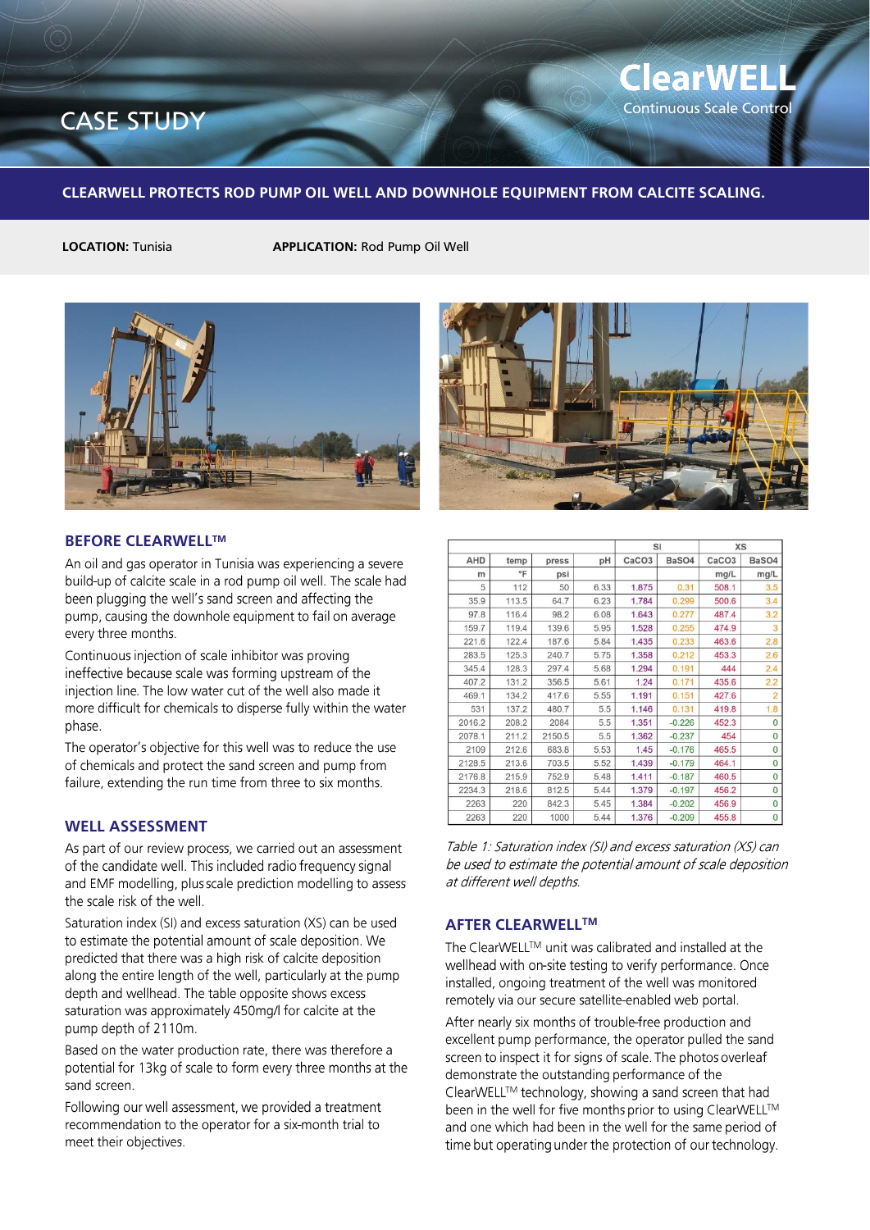## CASE STUDY **CASE STUDY**

**ClearWEL** 

#### **CLEARWELL PROTECTS ROD PUMP OIL WELL AND DOWNHOLE EQUIPMENT FROM CALCITE SCALING.**

**LOCATION:** Tunisia **APPLICATION:** Rod Pump Oil Well



#### **BEFORE CLEARWELLTM**

An oil and gas operator in Tunisia was experiencing a severe build-up of calcite scale in a rod pump oil well. The scale had been plugging the well's sand screen and affecting the pump, causing the downhole equipment to fail on average every three months.

Continuous injection of scale inhibitor was proving ineffective because scale was forming upstream of the injection line. The low water cut of the well also made it more difficult for chemicals to disperse fully within the water phase.

The operator's objective for this well was to reduce the use of chemicals and protect the sand screen and pump from failure, extending the run time from three to six months.

### **WELL ASSESSMENT**

As part of our review process, we carried out an assessment of the candidate well. This included radio frequency signal and EMF modelling, plus scale prediction modelling to assess the scale risk of the well.

Saturation index (SI) and excess saturation (XS) can be used to estimate the potential amount of scale deposition. We predicted that there was a high risk of calcite deposition along the entire length of the well, particularly at the pump depth and wellhead. The table opposite shows excess saturation was approximately 450mg/l for calcite at the pump depth of 2110m.

Based on the water production rate, there was therefore a potential for 13kg of scale to form every three months at the sand screen.

Following our well assessment, we provided a treatment recommendation to the operator for a six-month trial to meet their objectives.



|        |       |        |      | SI                |          | <b>XS</b>         |                |
|--------|-------|--------|------|-------------------|----------|-------------------|----------------|
| AHD    | temp  | press  | pH   | CaCO <sub>3</sub> | BaSO4    | CaCO <sub>3</sub> | BaSO4          |
| m      | °F    | psi    |      |                   |          | mg/L              | mg/L           |
| 5      | 112   | 50     | 6.33 | 1.875             | 0.31     | 508.1             | 3.5            |
| 35.9   | 113.5 | 64.7   | 6.23 | 1.784             | 0.299    | 500.6             | 3.4            |
| 97.8   | 116.4 | 98.2   | 6.08 | 1.643             | 0.277    | 487.4             | 3.2            |
| 159.7  | 119.4 | 139.6  | 5.95 | 1.528             | 0.255    | 474.9             | 3              |
| 221.6  | 122.4 | 187.6  | 5.84 | 1.435             | 0.233    | 463.6             | 2.8            |
| 283.5  | 125.3 | 240.7  | 5.75 | 1.358             | 0.212    | 453.3             | 2.6            |
| 345.4  | 128.3 | 297.4  | 5.68 | 1.294             | 0.191    | 444               | 2.4            |
| 407.2  | 131.2 | 356.5  | 5.61 | 1.24              | 0.171    | 435.6             | 2.2            |
| 469.1  | 134.2 | 417.6  | 5.55 | 1.191             | 0.151    | 427.6             | $\overline{2}$ |
| 531    | 137.2 | 480.7  | 5.5  | 1.146             | 0.131    | 419.8             | 1.8            |
| 2016.2 | 208.2 | 2084   | 5.5  | 1.351             | $-0.226$ | 452.3             | $\Omega$       |
| 2078.1 | 211.2 | 2150.5 | 5.5  | 1.362             | $-0.237$ | 454               | 0              |
| 2109   | 212.6 | 683.8  | 5.53 | 1.45              | $-0.176$ | 465.5             | 0              |
| 2128.5 | 213.6 | 703.5  | 5.52 | 1.439             | $-0.179$ | 464.1             | 0              |
| 2176.8 | 215.9 | 752.9  | 5.48 | 1.411             | $-0.187$ | 460.5             | $\Omega$       |
| 2234.3 | 218.6 | 812.5  | 5.44 | 1.379             | $-0.197$ | 456.2             | 0              |
| 2263   | 220   | 842.3  | 5.45 | 1.384             | $-0.202$ | 456.9             | $\overline{0}$ |
| 2263   | 220   | 1000   | 5.44 | 1.376             | $-0.209$ | 455.8             | $\overline{0}$ |

Table 1: Saturation index (SI) and excess saturation (XS) can be used to estimate the potential amount of scale deposition at different well depths.

#### **AFTER CLEARWELLTM**

The ClearWELL™ unit was calibrated and installed at the wellhead with on-site testing to verify performance. Once installed, ongoing treatment of the well was monitored remotely via our secure satellite-enabled web portal.

After nearly six months of trouble-free production and excellent pump performance, the operator pulled the sand screen to inspect it for signs of scale. The photos overleaf demonstrate the outstanding performance of the ClearWELL™ technology, showing a sand screen that had been in the well for five months prior to using ClearWELL™ and one which had been in the well for the same period of time but operating under the protection of our technology.